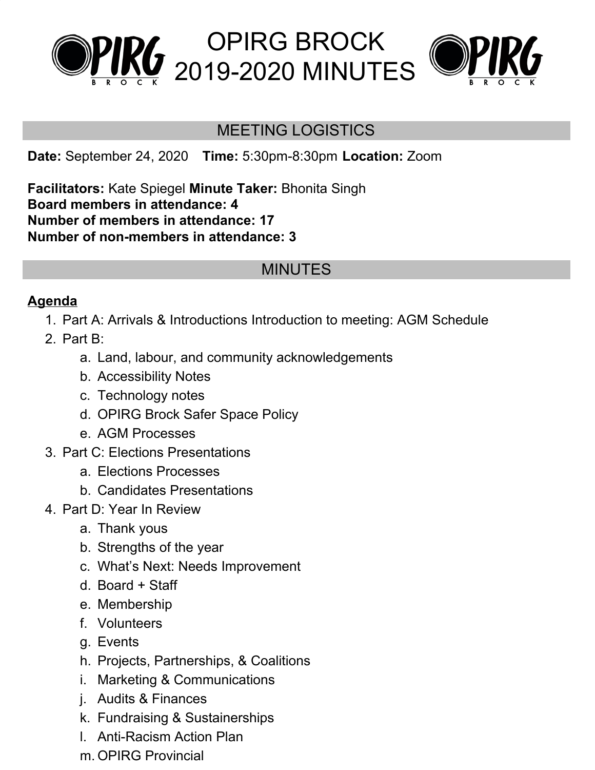



#### MEETING LOGISTICS

**Date:** September 24, 2020 **Time:** 5:30pm-8:30pm **Location:** Zoom

**Facilitators:** Kate Spiegel **Minute Taker:** Bhonita Singh **Board members in attendance: 4 Number of members in attendance: 17 Number of non-members in attendance: 3**

## MINUTES

#### **Agenda**

- 1. Part A: Arrivals & Introductions Introduction to meeting: AGM Schedule
- 2. Part B:
	- a. Land, labour, and community acknowledgements
	- b. Accessibility Notes
	- c. Technology notes
	- d. OPIRG Brock Safer Space Policy
	- e. AGM Processes
- 3. Part C: Elections Presentations
	- a. Elections Processes
	- b. Candidates Presentations
- 4. Part D: Year In Review
	- a. Thank yous
	- b. Strengths of the year
	- c. What's Next: Needs Improvement
	- d. Board + Staff
	- e. Membership
	- f. Volunteers
	- g. Events
	- h. Projects, Partnerships, & Coalitions
	- i. Marketing & Communications
	- j. Audits & Finances
	- k. Fundraising & Sustainerships
	- l. Anti-Racism Action Plan
	- m. OPIRG Provincial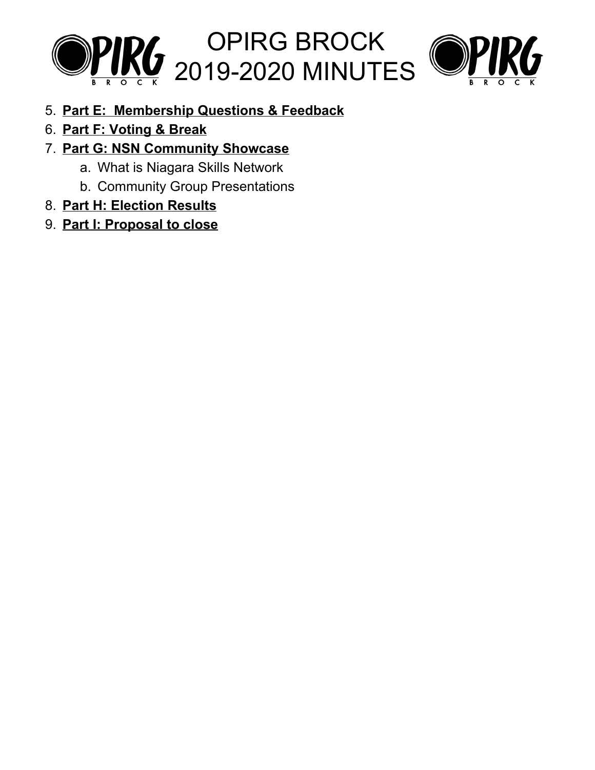



- 5. **Part E: Membership Questions & Feedback**
- 6. **Part F: Voting & Break**
- 7. **Part G: NSN Community Showcase**
	- a. What is Niagara Skills Network
	- b. Community Group Presentations
- 8. **Part H: Election Results**
- 9. **Part I: Proposal to close**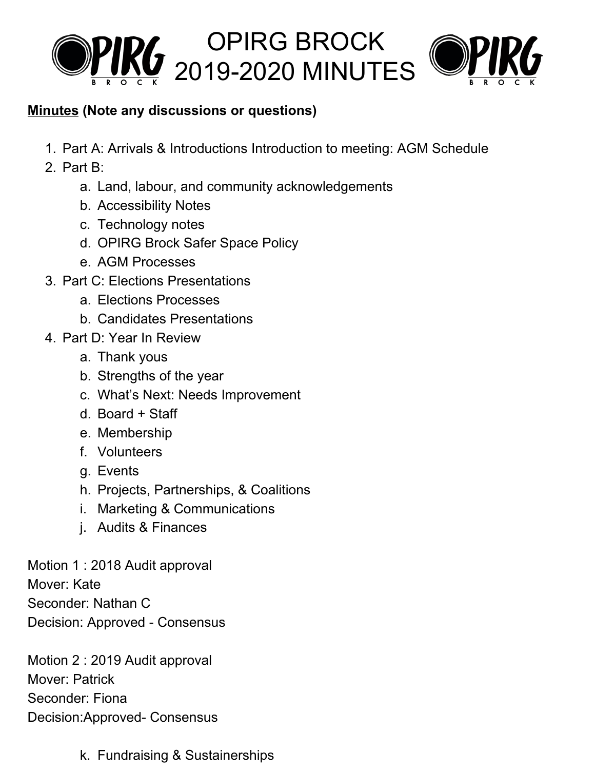



#### **Minutes (Note any discussions or questions)**

- 1. Part A: Arrivals & Introductions Introduction to meeting: AGM Schedule
- 2. Part B:
	- a. Land, labour, and community acknowledgements
	- b. Accessibility Notes
	- c. Technology notes
	- d. OPIRG Brock Safer Space Policy
	- e. AGM Processes
- 3. Part C: Elections Presentations
	- a. Elections Processes
	- b. Candidates Presentations
- 4. Part D: Year In Review
	- a. Thank yous
	- b. Strengths of the year
	- c. What's Next: Needs Improvement
	- d. Board + Staff
	- e. Membership
	- f. Volunteers
	- g. Events
	- h. Projects, Partnerships, & Coalitions
	- i. Marketing & Communications
	- j. Audits & Finances

Motion 1 : 2018 Audit approval Mover: Kate Seconder: Nathan C Decision: Approved - Consensus

Motion 2 : 2019 Audit approval Mover: Patrick Seconder: Fiona Decision:Approved- Consensus

k. Fundraising & Sustainerships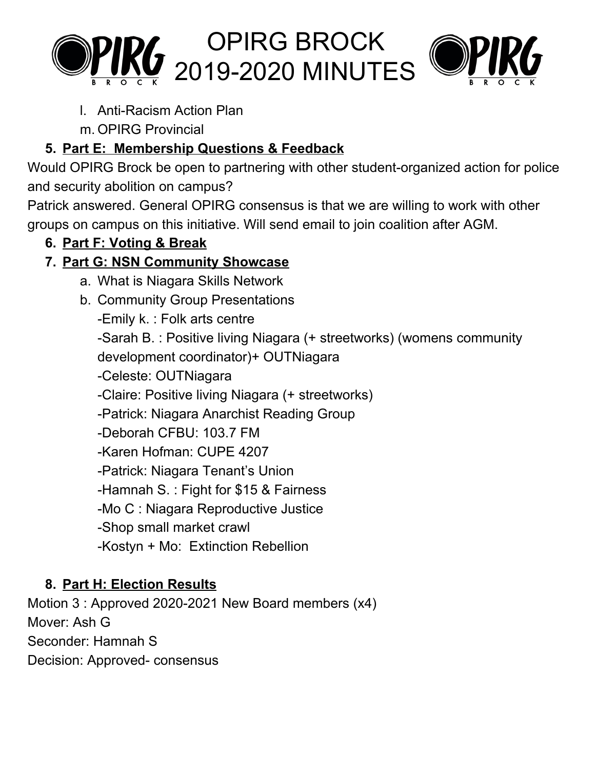



l. Anti-Racism Action Plan

m. OPIRG Provincial

# **5. Part E: Membership Questions & Feedback**

Would OPIRG Brock be open to partnering with other student-organized action for police and security abolition on campus?

Patrick answered. General OPIRG consensus is that we are willing to work with other groups on campus on this initiative. Will send email to join coalition after AGM.

## **6. Part F: Voting & Break**

# **7. Part G: NSN Community Showcase**

- a. What is Niagara Skills Network
- b. Community Group Presentations

-Emily k. : Folk arts centre

-Sarah B. : Positive living Niagara (+ streetworks) (womens community development coordinator)+ OUTNiagara

-Celeste: OUTNiagara

-Claire: Positive living Niagara (+ streetworks)

-Patrick: Niagara Anarchist Reading Group

-Deborah CFBU: 103.7 FM

- -Karen Hofman: CUPE 4207
- -Patrick: Niagara Tenant's Union

-Hamnah S. : Fight for \$15 & Fairness

-Mo C : Niagara Reproductive Justice

- -Shop small market crawl
- -Kostyn + Mo: Extinction Rebellion

## **8. Part H: Election Results**

Motion 3 : Approved 2020-2021 New Board members (x4) Mover: Ash G Seconder: Hamnah S Decision: Approved- consensus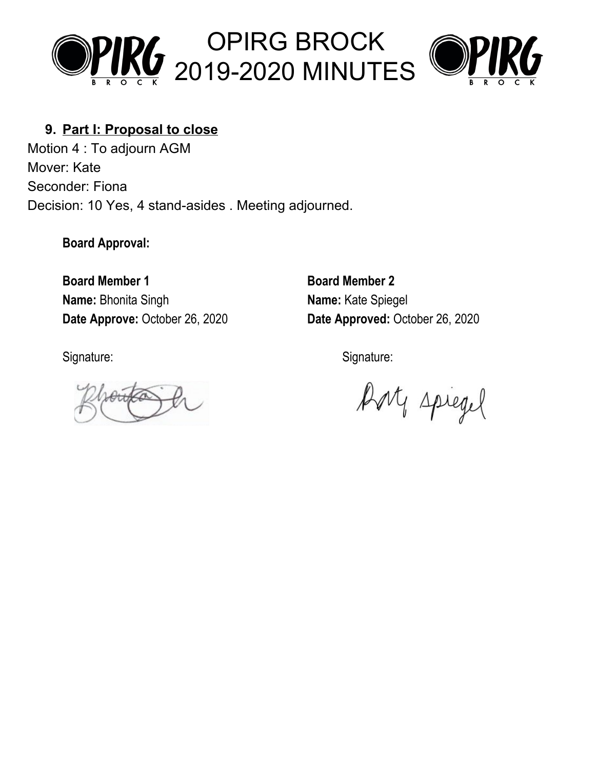



#### **9. Part I: Proposal to close**

Motion 4 : To adjourn AGM Mover: Kate Seconder: Fiona Decision: 10 Yes, 4 stand-asides . Meeting adjourned.

**Board Approval:**

**Board Member 1 Board Member 2 Name:** Bhonita Singh **Name:** Kate Spiegel

**Date Approve:** October 26, 2020 **Date Approved:** October 26, 2020

Signature: Signature: Signature: Signature: Signature: Signature: Signature: Signature: Signature: Signature: Signature: Signature: Signature: Signature: Signature: Signature: Signature: Signature: Signature: Signature: Si

Bort spiegel